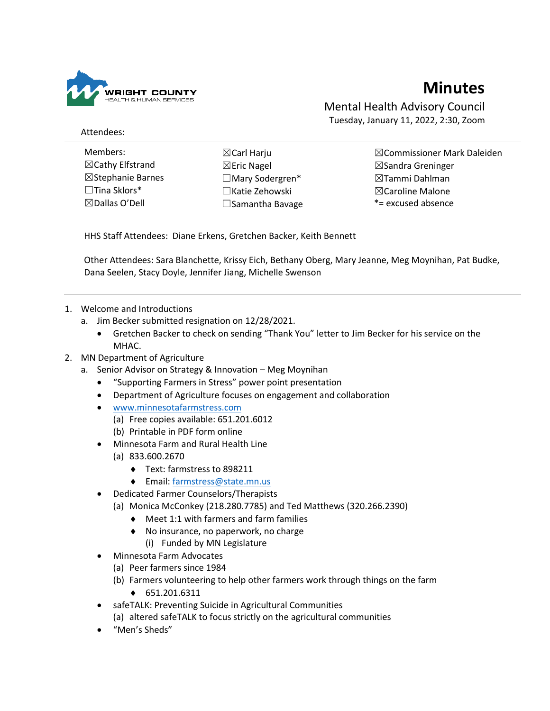

## **Minutes**

Mental Health Advisory Council Tuesday, January 11, 2022, 2:30, Zoom

Attendees:

- Members: ☒Cathy Elfstrand ☒Stephanie Barnes ☐Tina Sklors\* ☒Dallas O'Dell
- ☒Carl Harju ☒Eric Nagel ☐Mary Sodergren\* ☐Katie Zehowski ☐Samantha Bavage

☒Commissioner Mark Daleiden ☒Sandra Greninger ☒Tammi Dahlman ☒Caroline Malone \*= excused absence

HHS Staff Attendees: Diane Erkens, Gretchen Backer, Keith Bennett

Other Attendees: Sara Blanchette, Krissy Eich, Bethany Oberg, Mary Jeanne, Meg Moynihan, Pat Budke, Dana Seelen, Stacy Doyle, Jennifer Jiang, Michelle Swenson

- 1. Welcome and Introductions
	- a. Jim Becker submitted resignation on 12/28/2021.
		- Gretchen Backer to check on sending "Thank You" letter to Jim Becker for his service on the MHAC.
- 2. MN Department of Agriculture
	- a. Senior Advisor on Strategy & Innovation Meg Moynihan
		- "Supporting Farmers in Stress" power point presentation
		- Department of Agriculture focuses on engagement and collaboration
		- [www.minnesotafarmstress.com](http://www.minnesotafarmstress.com/)
			- (a) Free copies available: 651.201.6012
			- (b) Printable in PDF form online
		- Minnesota Farm and Rural Health Line
			- (a) 833.600.2670
				- Text: farmstress to 898211
				- Email: [farmstress@state.mn.us](mailto:farmstress@state.mn.us)
		- Dedicated Farmer Counselors/Therapists
			- (a) Monica McConkey (218.280.7785) and Ted Matthews (320.266.2390)
				- Meet 1:1 with farmers and farm families
				- ◆ No insurance, no paperwork, no charge
					- (i) Funded by MN Legislature
		- Minnesota Farm Advocates
			- (a) Peer farmers since 1984
			- (b) Farmers volunteering to help other farmers work through things on the farm
				- ◆ 651.201.6311
		- safeTALK: Preventing Suicide in Agricultural Communities (a) altered safeTALK to focus strictly on the agricultural communities
		- "Men's Sheds"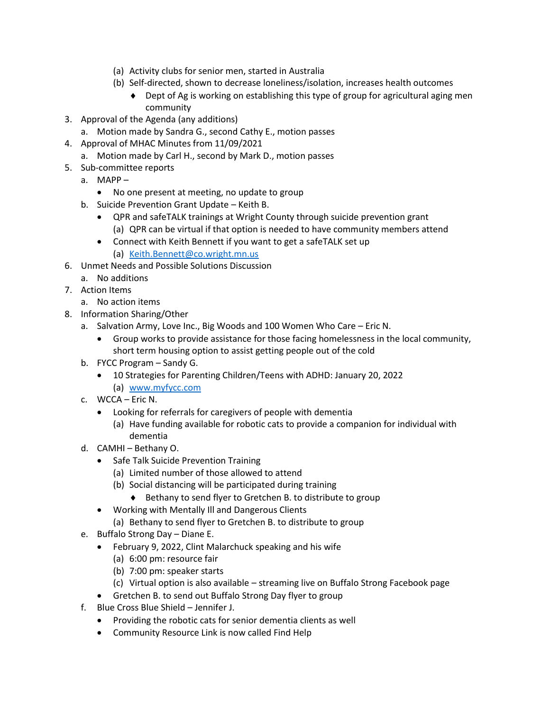- (a) Activity clubs for senior men, started in Australia
- (b) Self-directed, shown to decrease loneliness/isolation, increases health outcomes
	- Dept of Ag is working on establishing this type of group for agricultural aging men community
- 3. Approval of the Agenda (any additions)
	- a. Motion made by Sandra G., second Cathy E., motion passes
- 4. Approval of MHAC Minutes from 11/09/2021
	- a. Motion made by Carl H., second by Mark D., motion passes
- 5. Sub-committee reports
	- a. MAPP
		- No one present at meeting, no update to group
	- b. Suicide Prevention Grant Update Keith B.
		- QPR and safeTALK trainings at Wright County through suicide prevention grant (a) QPR can be virtual if that option is needed to have community members attend
		- Connect with Keith Bennett if you want to get a safeTALK set up (a) [Keith.Bennett@co.wright.mn.us](mailto:Keith.Bennett@co.wright.mn.us)
- 6. Unmet Needs and Possible Solutions Discussion
- a. No additions
- 7. Action Items
	- a. No action items
- 8. Information Sharing/Other
	- a. Salvation Army, Love Inc., Big Woods and 100 Women Who Care Eric N.
		- Group works to provide assistance for those facing homelessness in the local community, short term housing option to assist getting people out of the cold
	- b. FYCC Program Sandy G.
		- 10 Strategies for Parenting Children/Teens with ADHD: January 20, 2022
			- (a) [www.myfycc.com](http://www.myfycc.com/)
	- c. WCCA Eric N.
		- Looking for referrals for caregivers of people with dementia
			- (a) Have funding available for robotic cats to provide a companion for individual with dementia
	- d. CAMHI Bethany O.
		- Safe Talk Suicide Prevention Training
			- (a) Limited number of those allowed to attend
			- (b) Social distancing will be participated during training
				- ◆ Bethany to send flyer to Gretchen B. to distribute to group
		- Working with Mentally Ill and Dangerous Clients
			- (a) Bethany to send flyer to Gretchen B. to distribute to group
	- e. Buffalo Strong Day Diane E.
		- February 9, 2022, Clint Malarchuck speaking and his wife
			- (a) 6:00 pm: resource fair
			- (b) 7:00 pm: speaker starts
			- (c) Virtual option is also available streaming live on Buffalo Strong Facebook page
		- Gretchen B. to send out Buffalo Strong Day flyer to group
	- f. Blue Cross Blue Shield Jennifer J.
		- Providing the robotic cats for senior dementia clients as well
		- Community Resource Link is now called Find Help